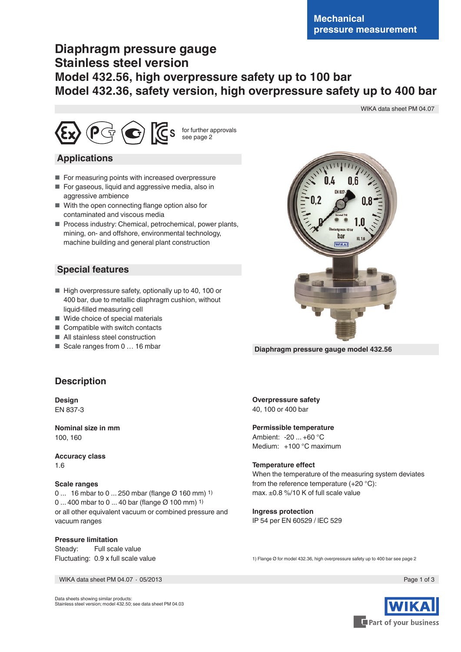# **Diaphragm pressure gauge Stainless steel version Model 432.56, high overpressure safety up to 100 bar Model 432.36, safety version, high overpressure safety up to 400 bar**

WIKA data sheet PM 04.07



### **Applications**

- For measuring points with increased overpressure
- For gaseous, liquid and aggressive media, also in aggressive ambience
- With the open connecting flange option also for contaminated and viscous media
- Process industry: Chemical, petrochemical, power plants, mining, on- and offshore, environmental technology, machine building and general plant construction

### **Special features**

- High overpressure safety, optionally up to 40, 100 or 400 bar, due to metallic diaphragm cushion, without liquid-filled measuring cell
- Wide choice of special materials
- Compatible with switch contacts
- All stainless steel construction
- Scale ranges from 0 ... 16 mbar



**Diaphragm pressure gauge model 432.56**

# **Description**

**Design** EN 837-3

**Nominal size in mm** 100, 160

**Accuracy class** 1.6

#### **Scale ranges**

0 ... 16 mbar to 0 ... 250 mbar (flange Ø 160 mm) 1) 0 ... 400 mbar to 0 ... 40 bar (flange Ø 100 mm) 1) or all other equivalent vacuum or combined pressure and vacuum ranges

#### **Pressure limitation**

Steady: Full scale value Fluctuating: 0.9 x full scale value

WIKA data sheet PM 04.07 ∙ 05/2013 Page 1 of 3

**Overpressure safety** 40, 100 or 400 bar

#### **Permissible temperature**

Ambient: -20 ... +60 °C Medium: +100 °C maximum

#### **Temperature effect**

When the temperature of the measuring system deviates from the reference temperature (+20 °C): max. ±0.8 %/10 K of full scale value

**Ingress protection** IP 54 per EN 60529 / lEC 529

1) Flange Ø for model 432.36, high overpressure safety up to 400 bar see page 2



Data sheets showing similar products: Stainless steel version; model 432.50; see data sheet PM 04.03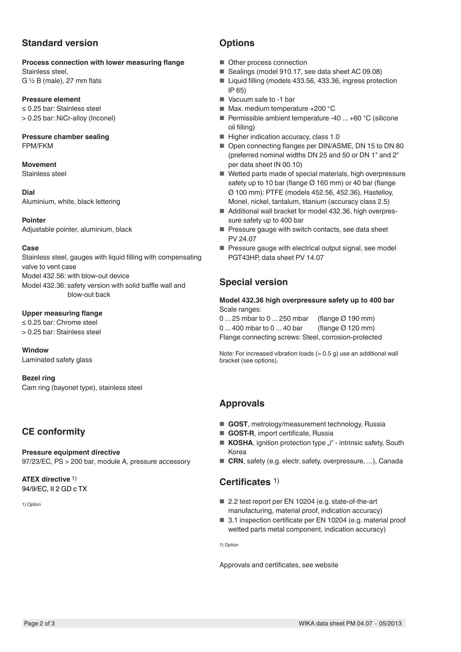# **Standard version**

#### **Process connection with lower measuring flange**

Stainless steel, G  $\frac{1}{2}$  B (male), 27 mm flats

#### **Pressure element**

≤ 0.25 bar: Stainless steel > 0.25 bar: NiCr-alloy (Inconel)

#### **Pressure chamber sealing** FPM/FKM

### **Movement**

Stainless steel

**Dial** Aluminium, white, black lettering

**Pointer** Adjustable pointer, aluminium, black

#### **Case**

Stainless steel, gauges with liquid filling with compensating valve to vent case Model 432.56: with blow-out device Model 432.36: safety version with solid baffle wall and blow-out back

#### **Upper measuring flange**

≤ 0.25 bar: Chrome steel > 0.25 bar: Stainless steel

**Window** Laminated safety glass

**Bezel ring** Cam ring (bayonet type), stainless steel

# **CE conformity**

**Pressure equipment directive** 97/23/EC, PS > 200 bar, module A, pressure accessory

**ATEX directive** 1) 94/9/EC, II 2 GD c TX

1) Option

### **Options**

- Other process connection
- Sealings (model 910.17, see data sheet AC 09.08)
- Liquid filling (models 433.56, 433.36, ingress protection IP 65)
- Vacuum safe to -1 bar
- Max. medium temperature +200 °C
- **Permissible ambient temperature -40 ... +60 °C (silicone** oil filling)
- Higher indication accuracy, class 1.0
- Open connecting flanges per DIN/ASME, DN 15 to DN 80 (preferred nominal widths DN 25 and 50 or DN 1" and 2" per data sheet IN 00.10)
- Wetted parts made of special materials, high overpressure safety up to 10 bar (flange Ø 160 mm) or 40 bar (flange Ø 100 mm): PTFE (models 452.56, 452.36), Hastelloy, Monel, nickel, tantalum, titanium (accuracy class 2.5)
- Additional wall bracket for model 432.36, high overpressure safety up to 400 bar
- Pressure gauge with switch contacts, see data sheet PV 24.07
- Pressure gauge with electrical output signal, see model PGT43HP, data sheet PV 14.07

# **Special version**

#### **Model 432.36 high overpressure safety up to 400 bar** Scale ranges:

0 ... 25 mbar to 0 ... 250 mbar (flange Ø 190 mm) 0 ... 400 mbar to 0 ... 40 bar (flange Ø 120 mm) Flange connecting screws: Steel, corrosion-protected

Note: For increased vibration loads  $(> 0.5 q)$  use an additional wall bracket (see options).

# **Approvals**

- **GOST**, metrology/measurement technology, Russia
- **GOST-R**, import certificate, Russia
- KOSHA, ignition protection type "i" intrinsic safety, South Korea
- CRN, safety (e.g. electr. safety, overpressure, ...), Canada

### **Certificates** 1)

- 2.2 test report per EN 10204 (e.g. state-of-the-art manufacturing, material proof, indication accuracy)
- 3.1 inspection certificate per EN 10204 (e.g. material proof wetted parts metal component, indication accuracy)

1) Option

Approvals and certificates, see website